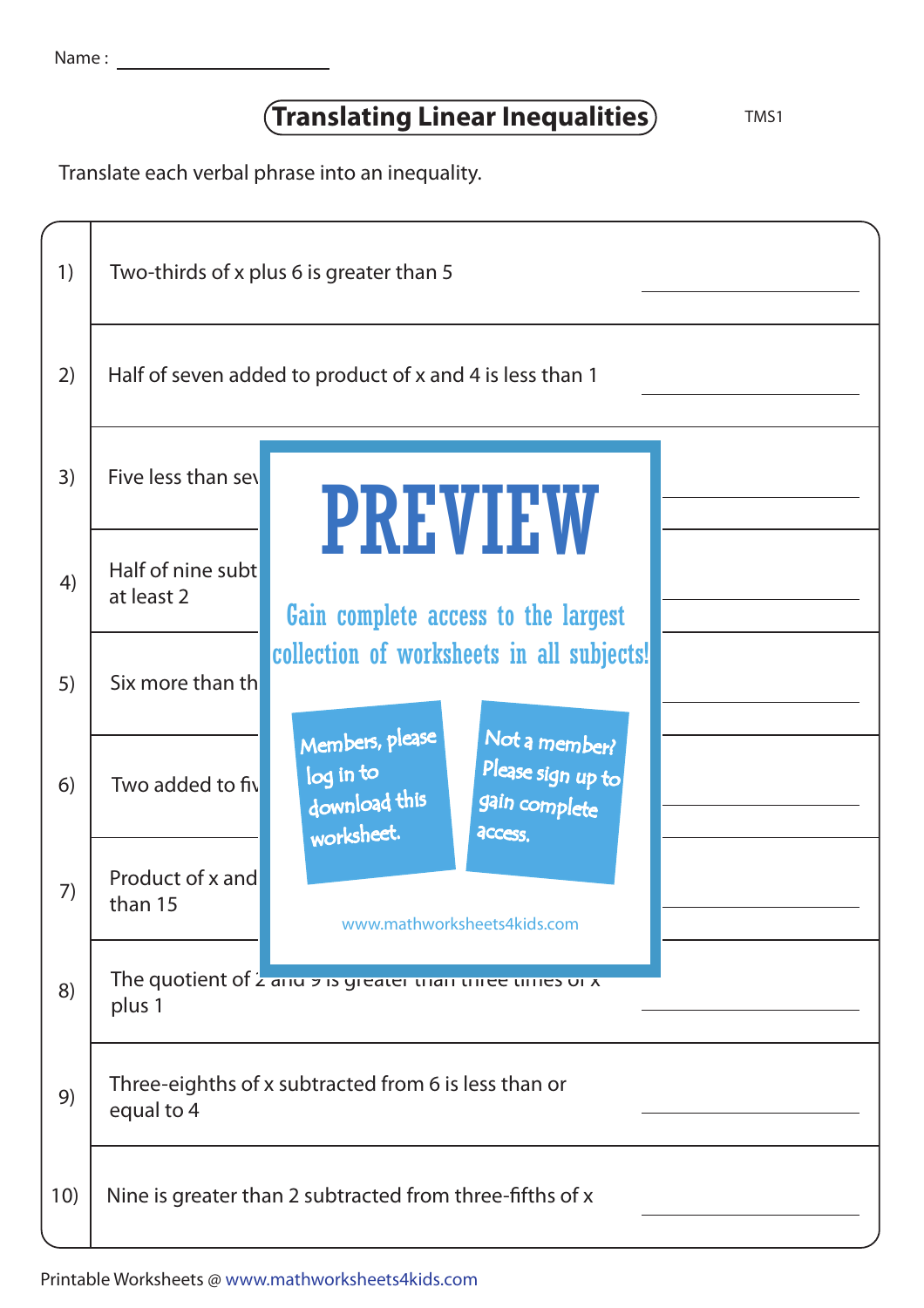| Name |  |  |
|------|--|--|
|      |  |  |

## **Translating Linear Inequalities** TMS1

Translate each verbal phrase into an inequality.